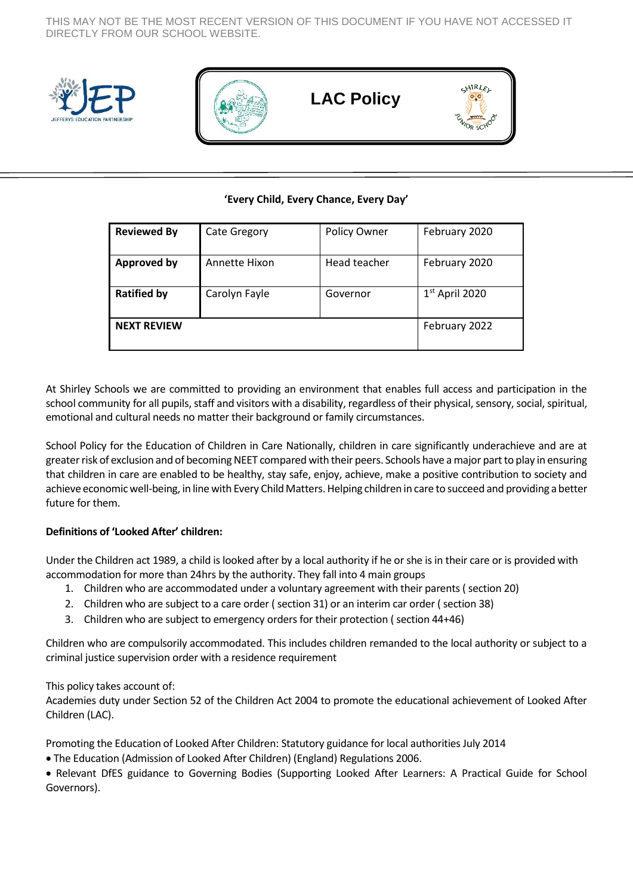THIS MAY NOT BE THE MOST RECENT VERSION OF THIS DOCUMENT IF YOU HAVE NOT ACCESSED IT DIRECTLY FROM OUR SCHOOL WEBSITE.





 **LAC Policy**



# **'Every Child, Every Chance, Every Day'**

| <b>Reviewed By</b> | <b>Cate Gregory</b> | Policy Owner | February 2020    |
|--------------------|---------------------|--------------|------------------|
| <b>Approved by</b> | Annette Hixon       | Head teacher | February 2020    |
| <b>Ratified by</b> | Carolyn Fayle       | Governor     | $1st$ April 2020 |
| <b>NEXT REVIEW</b> |                     |              | February 2022    |

At Shirley Schools we are committed to providing an environment that enables full access and participation in the school community for all pupils, staff and visitors with a disability, regardless of their physical, sensory, social, spiritual, emotional and cultural needs no matter their background or family circumstances.

School Policy for the Education of Children in Care Nationally, children in care significantly underachieve and are at greater risk of exclusion and of becoming NEET compared with their peers. Schools have a major part to play in ensuring that children in care are enabled to be healthy, stay safe, enjoy, achieve, make a positive contribution to society and achieve economic well-being, in line with Every Child Matters. Helping children in care to succeed and providing a better future for them.

# **Definitions of 'Looked After' children:**

Under the Children act 1989, a child is looked after by a local authority if he or she is in their care or is provided with accommodation for more than 24hrs by the authority. They fall into 4 main groups

- 1. Children who are accommodated under a voluntary agreement with their parents ( section 20)
- 2. Children who are subject to a care order ( section 31) or an interim car order ( section 38)
- 3. Children who are subject to emergency orders for their protection ( section 44+46)

Children who are compulsorily accommodated. This includes children remanded to the local authority or subject to a criminal justice supervision order with a residence requirement

# This policy takes account of:

Academies duty under Section 52 of the Children Act 2004 to promote the educational achievement of Looked After Children (LAC).

Promoting the Education of Looked After Children: Statutory guidance for local authorities July 2014

The Education (Admission of Looked After Children) (England) Regulations 2006.

 Relevant DfES guidance to Governing Bodies (Supporting Looked After Learners: A Practical Guide for School Governors).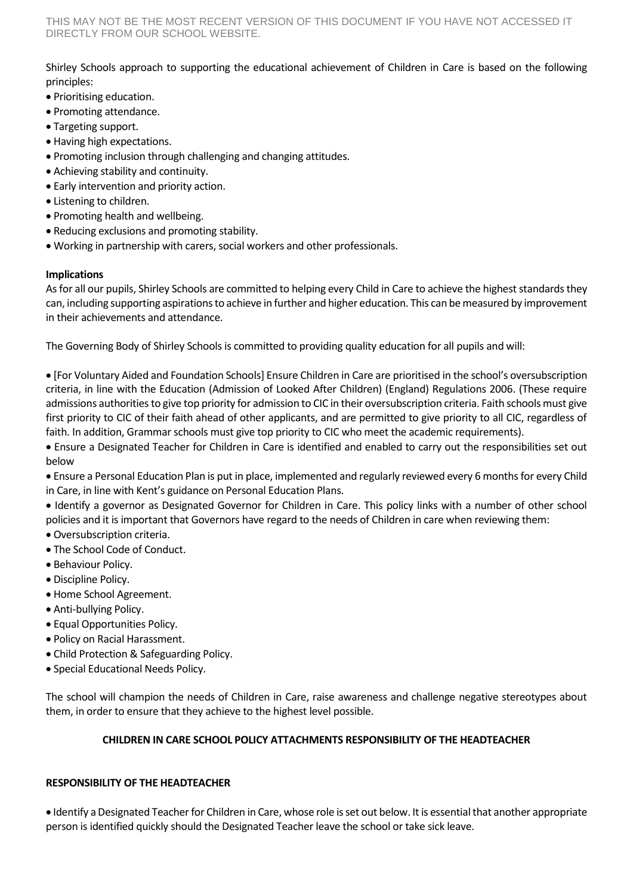Shirley Schools approach to supporting the educational achievement of Children in Care is based on the following principles:

- Prioritising education.
- Promoting attendance.
- Targeting support.
- Having high expectations.
- Promoting inclusion through challenging and changing attitudes.
- Achieving stability and continuity.
- Early intervention and priority action.
- Listening to children.
- Promoting health and wellbeing.
- Reducing exclusions and promoting stability.
- Working in partnership with carers, social workers and other professionals.

#### **Implications**

As for all our pupils, Shirley Schools are committed to helping every Child in Care to achieve the highest standards they can, including supporting aspirations to achieve in further and higher education. This can be measured by improvement in their achievements and attendance.

The Governing Body of Shirley Schools is committed to providing quality education for all pupils and will:

 [For Voluntary Aided and Foundation Schools] Ensure Children in Care are prioritised in the school's oversubscription criteria, in line with the Education (Admission of Looked After Children) (England) Regulations 2006. (These require admissions authorities to give top priority for admission to CIC in their oversubscription criteria. Faith schools must give first priority to CIC of their faith ahead of other applicants, and are permitted to give priority to all CIC, regardless of faith. In addition, Grammar schools must give top priority to CIC who meet the academic requirements).

 Ensure a Designated Teacher for Children in Care is identified and enabled to carry out the responsibilities set out below

 Ensure a Personal Education Plan is put in place, implemented and regularly reviewed every 6 months for every Child in Care, in line with Kent's guidance on Personal Education Plans.

 Identify a governor as Designated Governor for Children in Care. This policy links with a number of other school policies and it is important that Governors have regard to the needs of Children in care when reviewing them:

- Oversubscription criteria.
- The School Code of Conduct.
- Behaviour Policy.
- Discipline Policy.
- Home School Agreement.
- Anti-bullying Policy.
- Equal Opportunities Policy.
- Policy on Racial Harassment.
- Child Protection & Safeguarding Policy.
- Special Educational Needs Policy.

The school will champion the needs of Children in Care, raise awareness and challenge negative stereotypes about them, in order to ensure that they achieve to the highest level possible.

#### **CHILDREN IN CARE SCHOOL POLICY ATTACHMENTS RESPONSIBILITY OF THE HEADTEACHER**

#### **RESPONSIBILITY OF THE HEADTEACHER**

 Identify a Designated Teacher for Children in Care, whose role is set out below. It is essential that another appropriate person is identified quickly should the Designated Teacher leave the school or take sick leave.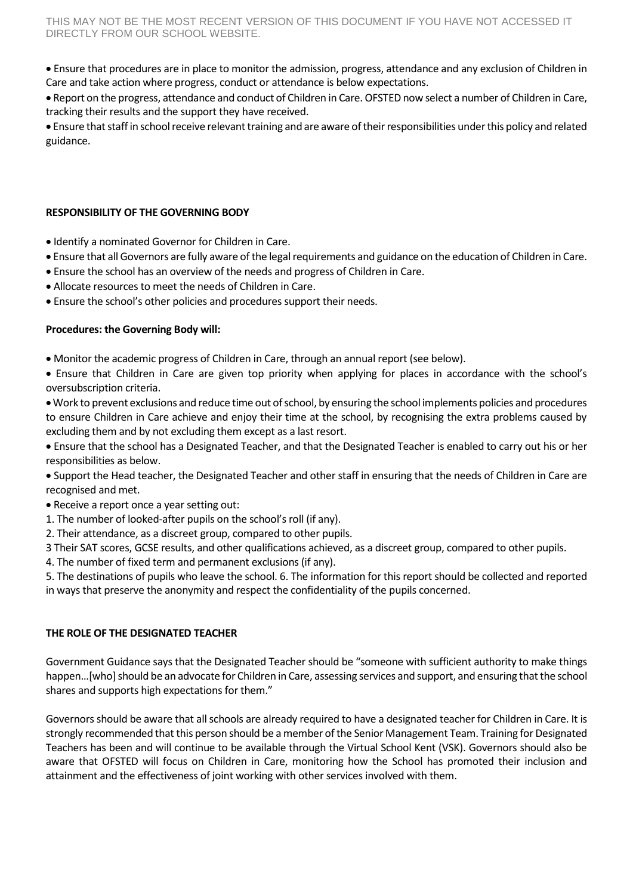Ensure that procedures are in place to monitor the admission, progress, attendance and any exclusion of Children in Care and take action where progress, conduct or attendance is below expectations.

 Report on the progress, attendance and conduct of Children in Care. OFSTED now select a number of Children in Care, tracking their results and the support they have received.

 Ensure that staff in school receive relevant training and are aware of their responsibilities under this policy and related guidance.

## **RESPONSIBILITY OF THE GOVERNING BODY**

- $\bullet$  Identify a nominated Governor for Children in Care.
- Ensure that all Governors are fully aware of the legal requirements and guidance on the education of Children in Care.
- Ensure the school has an overview of the needs and progress of Children in Care.
- Allocate resources to meet the needs of Children in Care.
- Ensure the school's other policies and procedures support their needs.

## **Procedures: the Governing Body will:**

- Monitor the academic progress of Children in Care, through an annual report (see below).
- Ensure that Children in Care are given top priority when applying for places in accordance with the school's oversubscription criteria.
- Work to prevent exclusions and reduce time out of school, by ensuring the school implements policies and procedures to ensure Children in Care achieve and enjoy their time at the school, by recognising the extra problems caused by excluding them and by not excluding them except as a last resort.
- Ensure that the school has a Designated Teacher, and that the Designated Teacher is enabled to carry out his or her responsibilities as below.
- Support the Head teacher, the Designated Teacher and other staff in ensuring that the needs of Children in Care are recognised and met.
- Receive a report once a year setting out:
- 1. The number of looked-after pupils on the school's roll (if any).
- 2. Their attendance, as a discreet group, compared to other pupils.
- 3 Their SAT scores, GCSE results, and other qualifications achieved, as a discreet group, compared to other pupils.
- 4. The number of fixed term and permanent exclusions (if any).
- 5. The destinations of pupils who leave the school. 6. The information for this report should be collected and reported in ways that preserve the anonymity and respect the confidentiality of the pupils concerned.

### **THE ROLE OF THE DESIGNATED TEACHER**

Government Guidance says that the Designated Teacher should be "someone with sufficient authority to make things happen…[who] should be an advocate for Children in Care, assessing services and support, and ensuring that the school shares and supports high expectations for them."

Governors should be aware that all schools are already required to have a designated teacher for Children in Care. It is strongly recommended that this person should be a member of the Senior Management Team. Training for Designated Teachers has been and will continue to be available through the Virtual School Kent (VSK). Governors should also be aware that OFSTED will focus on Children in Care, monitoring how the School has promoted their inclusion and attainment and the effectiveness of joint working with other services involved with them.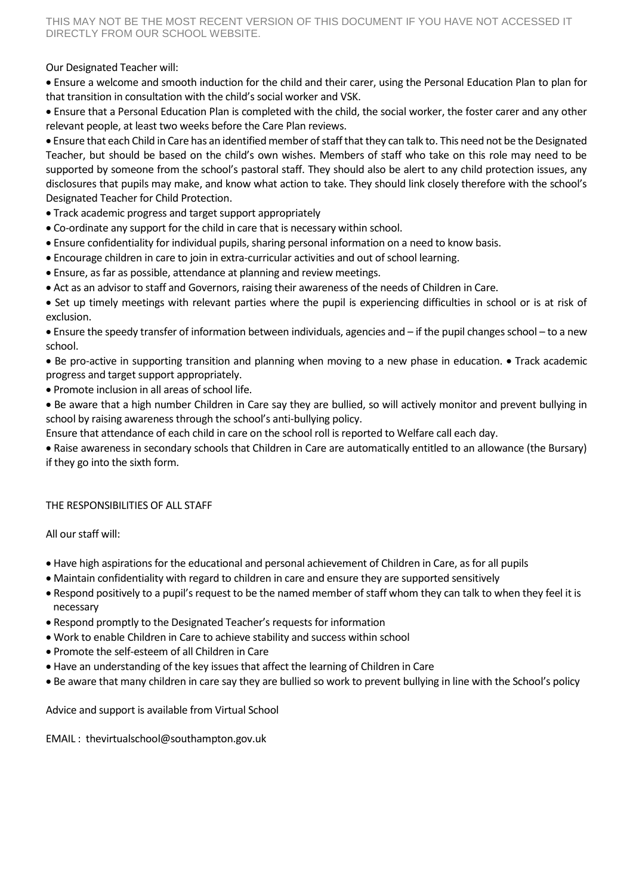THIS MAY NOT BE THE MOST RECENT VERSION OF THIS DOCUMENT IF YOU HAVE NOT ACCESSED IT DIRECTLY FROM OUR SCHOOL WEBSITE.

Our Designated Teacher will:

 Ensure a welcome and smooth induction for the child and their carer, using the Personal Education Plan to plan for that transition in consultation with the child's social worker and VSK.

 Ensure that a Personal Education Plan is completed with the child, the social worker, the foster carer and any other relevant people, at least two weeks before the Care Plan reviews.

 Ensure that each Child in Care has an identified member of staff that they can talk to. This need not be the Designated Teacher, but should be based on the child's own wishes. Members of staff who take on this role may need to be supported by someone from the school's pastoral staff. They should also be alert to any child protection issues, any disclosures that pupils may make, and know what action to take. They should link closely therefore with the school's Designated Teacher for Child Protection.

- Track academic progress and target support appropriately
- Co-ordinate any support for the child in care that is necessary within school.
- Ensure confidentiality for individual pupils, sharing personal information on a need to know basis.
- Encourage children in care to join in extra-curricular activities and out of school learning.
- Ensure, as far as possible, attendance at planning and review meetings.
- Act as an advisor to staff and Governors, raising their awareness of the needs of Children in Care.

 Set up timely meetings with relevant parties where the pupil is experiencing difficulties in school or is at risk of exclusion.

 Ensure the speedy transfer of information between individuals, agencies and – if the pupil changes school – to a new school.

• Be pro-active in supporting transition and planning when moving to a new phase in education. • Track academic progress and target support appropriately.

Promote inclusion in all areas of school life.

 Be aware that a high number Children in Care say they are bullied, so will actively monitor and prevent bullying in school by raising awareness through the school's anti-bullying policy.

Ensure that attendance of each child in care on the school roll is reported to Welfare call each day.

 Raise awareness in secondary schools that Children in Care are automatically entitled to an allowance (the Bursary) if they go into the sixth form.

#### THE RESPONSIBILITIES OF ALL STAFF

All our staff will:

- Have high aspirations for the educational and personal achievement of Children in Care, as for all pupils
- Maintain confidentiality with regard to children in care and ensure they are supported sensitively
- Respond positively to a pupil's request to be the named member of staff whom they can talk to when they feel it is necessary
- Respond promptly to the Designated Teacher's requests for information
- Work to enable Children in Care to achieve stability and success within school
- Promote the self-esteem of all Children in Care
- Have an understanding of the key issues that affect the learning of Children in Care
- Be aware that many children in care say they are bullied so work to prevent bullying in line with the School's policy

Advice and support is available from Virtual School

EMAIL : [thevirtualschool@southampton.gov.uk](mailto:thevirtualschool@southampton.gov.uk)